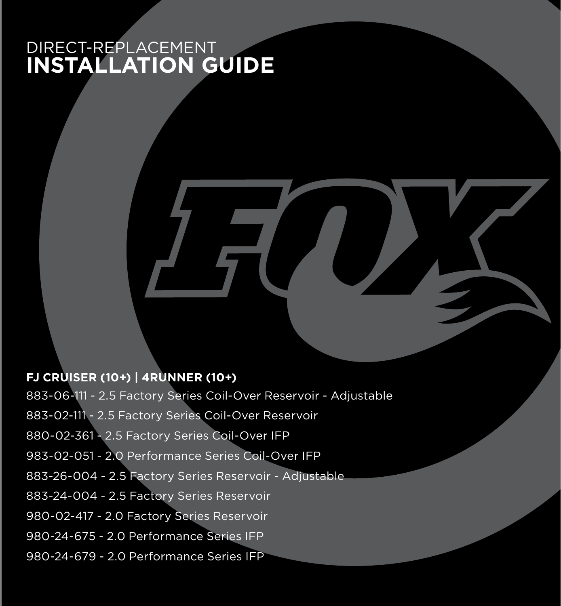## DIRECT-REPLACEMENT **INSTALLATION GUIDE**

#### **FJ CRUISER (10+) | 4RUNNER (10+)**

883-06-111 - 2.5 Factory Series Coil-Over Reservoir - Adjustable 883-02-111 - 2.5 Factory Series Coil-Over Reservoir 880-02-361 - 2.5 Factory Series Coil-Over IFP 983-02-051 - 2.0 Performance Series Coil-Over IFP 883-26-004 - 2.5 Factory Series Reservoir - Adjustable 883-24-004 - 2.5 Factory Series Reservoir 980-02-417 - 2.0 Factory Series Reservoir 980-24-675 - 2.0 Performance Series IFP 980-24-679 - 2.0 Performance Series IFP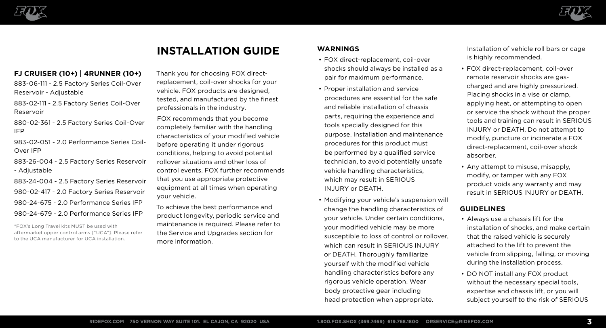



# **INSTALLATION GUIDE**

#### **FJ CRUISER (10+) | 4RUNNER (10+)**

883-06-111 - 2.5 Factory Series Coil-Over Reservoir - Adjustable

883-02-111 - 2.5 Factory Series Coil-Over Reservoir

880-02-361 - 2.5 Factory Series Coil-Over IFP

983-02-051 - 2.0 Performance Series Coil-Over IFP

883-26-004 - 2.5 Factory Series Reservoir - Adjustable

883-24-004 - 2.5 Factory Series Reservoir 980-02-417 - 2.0 Factory Series Reservoir 980-24-675 - 2.0 Performance Series IFP 980-24-679 - 2.0 Performance Series IFP

\*FOX's Long Travel kits MUST be used with aftermarket upper control arms ("UCA"). Please refer to the UCA manufacturer for UCA installation.

Thank you for choosing FOX directreplacement, coil-over shocks for your vehicle. FOX products are designed, tested, and manufactured by the finest professionals in the industry.

FOX recommends that you become completely familiar with the handling characteristics of your modified vehicle before operating it under rigorous conditions, helping to avoid potential rollover situations and other loss of control events. FOX further recommends that you use appropriate protective equipment at all times when operating your vehicle.

To achieve the best performance and product longevity, periodic service and maintenance is required. Please refer to the Service and Upgrades section for more information.

### **WARNINGS**

- FOX direct-replacement, coil-over shocks should always be installed as a pair for maximum performance.
- Proper installation and service procedures are essential for the safe and reliable installation of chassis parts, requiring the experience and tools specially designed for this purpose. Installation and maintenance procedures for this product must be performed by a qualified service technician, to avoid potentially unsafe vehicle handling characteristics, which may result in SERIOUS INJURY or DEATH.
- Modifying your vehicle's suspension will change the handling characteristics of your vehicle. Under certain conditions, your modified vehicle may be more susceptible to loss of control or rollover, which can result in SERIOUS INJURY or DEATH. Thoroughly familiarize yourself with the modified vehicle handling characteristics before any rigorous vehicle operation. Wear body protective gear including head protection when appropriate.

Installation of vehicle roll bars or cage is highly recommended.

- FOX direct-replacement, coil-over remote reservoir shocks are gascharged and are highly pressurized. Placing shocks in a vise or clamp, applying heat, or attempting to open or service the shock without the proper tools and training can result in SERIOUS INJURY or DEATH. Do not attempt to modify, puncture or incinerate a FOX direct-replacement, coil-over shock absorber.
- Any attempt to misuse, misapply, modify, or tamper with any FOX product voids any warranty and may result in SERIOUS INJURY or DEATH.

#### **GUIDELINES**

- Always use a chassis lift for the installation of shocks, and make certain that the raised vehicle is securely attached to the lift to prevent the vehicle from slipping, falling, or moving during the installation process.
- DO NOT install any FOX product without the necessary special tools. expertise and chassis lift, or you will subject yourself to the risk of SERIOUS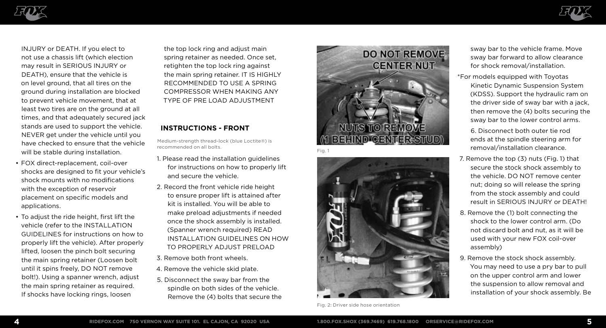



INJURY or DEATH. If you elect to not use a chassis lift (which election may result in SERIOUS INJURY or DEATH), ensure that the vehicle is on level ground, that all tires on the ground during installation are blocked to prevent vehicle movement, that at least two tires are on the ground at all times, and that adequately secured jack stands are used to support the vehicle. NEVER get under the vehicle until you have checked to ensure that the vehicle will be stable during installation.

- FOX direct-replacement, coil-over shocks are designed to fit your vehicle's shock mounts with no modifications with the exception of reservoir placement on specific models and applications.
- To adjust the ride height, first lift the vehicle (refer to the INSTALLATION GUIDELINES for instructions on how to properly lift the vehicle). After properly lifted, loosen the pinch bolt securing the main spring retainer (Loosen bolt until it spins freely, DO NOT remove bolt!). Using a spanner wrench, adjust the main spring retainer as required. If shocks have locking rings, loosen

the top lock ring and adjust main spring retainer as needed. Once set, retighten the top lock ring against the main spring retainer. IT IS HIGHLY RECOMMENDED TO USE A SPRING COMPRESSOR WHEN MAKING ANY TYPE OF PRE LOAD ADJUSTMENT

#### **INSTRUCTIONS - FRONT**

Medium-strength thread-lock (blue Loctite®) is recommended on all bolts.

- 1. Please read the installation guidelines for instructions on how to properly lift and secure the vehicle.
- 2. Record the front vehicle ride height to ensure proper lift is attained after kit is installed. You will be able to make preload adjustments if needed once the shock assembly is installed. (Spanner wrench required) READ INSTALLATION GUIDELINES ON HOW TO PROPERLY ADJUST PRELOAD
- 3. Remove both front wheels.
- 4. Remove the vehicle skid plate.
- 5. Disconnect the sway bar from the spindle on both sides of the vehicle. Remove the (4) bolts that secure the





Fig. 2: Driver side hose orientation

sway bar to the vehicle frame. Move sway bar forward to allow clearance for shock removal/installation.

- \*For models equipped with Toyotas Kinetic Dynamic Suspension System (KDSS). Support the hydraulic ram on the driver side of sway bar with a jack, then remove the (4) bolts securing the sway bar to the lower control arms.
	- 6. Disconnect both outer tie rod ends at the spindle steering arm for removal/installation clearance.
- 7. Remove the top (3) nuts (Fig. 1) that secure the stock shock assembly to the vehicle. DO NOT remove center nut; doing so will release the spring from the stock assembly and could result in SERIOUS INJURY or DEATH!
- 8. Remove the (1) bolt connecting the shock to the lower control arm. (Do not discard bolt and nut, as it will be used with your new FOX coil-over assembly)
- 9. Remove the stock shock assembly. You may need to use a pry bar to pull on the upper control arm and lower the suspension to allow removal and installation of your shock assembly. Be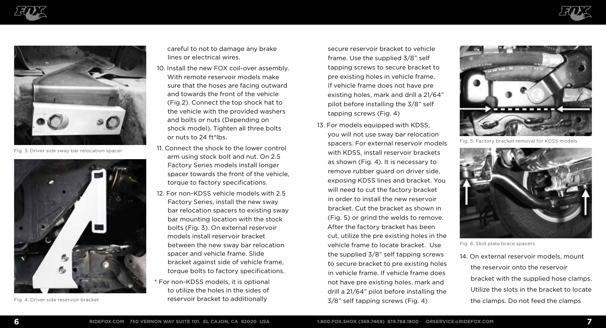





Fig. 3: Driver side sway bar relocation spacer



careful to not to damage any brake lines or electrical wires.

- 10. Install the new FOX coil-over assembly. With remote reservoir models make sure that the hoses are facing outward and towards the front of the vehicle (Fig.2). Connect the top shock hat to the vehicle with the provided washers and bolts or nuts (Depending on shock model). Tighten all three bolts or nuts to 24 ft\*lbs.
- 11. Connect the shock to the lower control arm using stock bolt and nut. On 2.5 Factory Series models install longer spacer towards the front of the vehicle, torque to factory specifications.
- 12. For non-KDSS vehicle models with 2.5 Factory Series, install the new sway bar relocation spacers to existing sway bar mounting location with the stock bolts (Fig. 3). On external reservoir models install reservoir bracket between the new sway bar relocation spacer and vehicle frame. Slide bracket against side of vehicle frame, torque bolts to factory specifications.
- \* For non-KDSS models, it is optional to utilize the holes in the sides of Fig. 4: Driver side reservoir bracket reservoir bracket to additionally

secure reservoir bracket to vehicle frame. Use the supplied 3/8" self tapping screws to secure bracket to pre existing holes in vehicle frame. If vehicle frame does not have pre existing holes, mark and drill a 21/64" pilot before installing the 3/8" self tapping screws (Fig. 4)

13. For models equipped with KDSS, you will not use sway bar relocation spacers. For external reservoir models with KDSS, install reservoir brackets as shown (Fig. 4). It is necessary to remove rubber guard on driver side, exposing KDSS lines and bracket. You will need to cut the factory bracket in order to install the new reservoir bracket. Cut the bracket as shown in (Fig. 5) or grind the welds to remove. After the factory bracket has been cut, utilize the pre existing holes in the vehicle frame to locate bracket. Use the supplied 3/8" self tapping screws to secure bracket to pre existing holes in vehicle frame. If vehicle frame does not have pre existing holes, mark and drill a 21/64" pilot before installing the 3/8" self tapping screws (Fig. 4)



Fig. 5: Factory bracket removal for KDSS models



Fig. 6: Skid plate brace spacers

14. On external reservoir models, mount the reservoir onto the reservoir bracket with the supplied hose clamps. Utilize the slots in the bracket to locate the clamps. Do not feed the clamps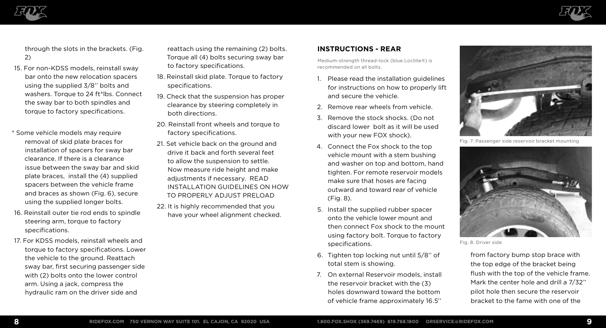



through the slots in the brackets. (Fig. 2)

- 15. For non-KDSS models, reinstall sway bar onto the new relocation spacers using the supplied 3/8'' bolts and washers. Torque to 24 ft\*lbs. Connect the sway bar to both spindles and torque to factory specifications.
- \* Some vehicle models may require removal of skid plate braces for installation of spacers for sway bar clearance. If there is a clearance issue between the sway bar and skid plate braces, install the (4) supplied spacers between the vehicle frame and braces as shown (Fig. 6), secure using the supplied longer bolts.
- 16. Reinstall outer tie rod ends to spindle steering arm, torque to factory specifications.
- 17. For KDSS models, reinstall wheels and torque to factory specifications. Lower the vehicle to the ground. Reattach sway bar, first securing passenger side with (2) bolts onto the lower control arm. Using a jack, compress the hydraulic ram on the driver side and
- reattach using the remaining (2) bolts. Torque all (4) bolts securing sway bar to factory specifications.
- 18. Reinstall skid plate. Torque to factory specifications.
- 19. Check that the suspension has proper clearance by steering completely in both directions.
- 20. Reinstall front wheels and torque to factory specifications.
- 21. Set vehicle back on the ground and drive it back and forth several feet to allow the suspension to settle. Now measure ride height and make adjustments if necessary. READ INSTALLATION GUIDELINES ON HOW TO PROPERLY ADJUST PRELOAD
- 22. It is highly recommended that you have your wheel alignment checked.

### **INSTRUCTIONS - REAR**

Medium-strength thread-lock (blue Loctite®) is recommended on all bolts.

- 1. Please read the installation guidelines for instructions on how to properly lift and secure the vehicle.
- 2. Remove rear wheels from vehicle.
- 3. Remove the stock shocks. (Do not discard lower bolt as it will be used with your new FOX shock).
- 4. Connect the Fox shock to the top vehicle mount with a stem bushing and washer on top and bottom, hand tighten. For remote reservoir models make sure that hoses are facing outward and toward rear of vehicle (Fig. 8).
- 5. Install the supplied rubber spacer onto the vehicle lower mount and then connect Fox shock to the mount using factory bolt. Torque to factory specifications.
- 6. Tighten top locking nut until 5/8'' of total stem is showing.
- 7. On external Reservoir models, install the reservoir bracket with the (3) holes downward toward the bottom of vehicle frame approximately 16.5''



Fig. 7: Passenger side reservoir bracket mounting



Fig. 8: Driver side

from factory bump stop brace with the top edge of the bracket being flush with the top of the vehicle frame. Mark the center hole and drill a 7/32'' pilot hole then secure the reservoir bracket to the fame with one of the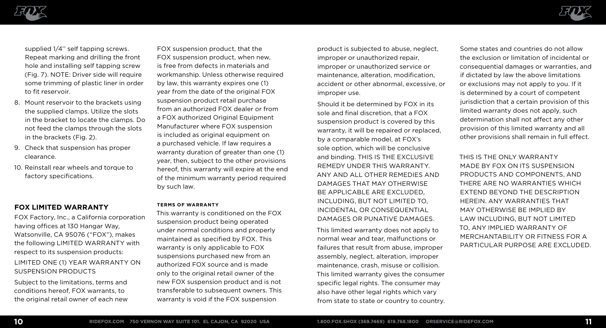



supplied 1/4'' self tapping screws. Repeat marking and drilling the front hole and installing self tapping screw (Fig. 7). NOTE: Driver side will require some trimming of plastic liner in order to fit reservoir.

- 8. Mount reservoir to the brackets using the supplied clamps. Utilize the slots in the bracket to locate the clamps. Do not feed the clamps through the slots in the brackets (Fig. 2).
- 9. Check that suspension has proper clearance.
- 10. Reinstall rear wheels and torque to factory specifications.

#### **FOX LIMITED WARRANTY**

FOX Factory, Inc., a California corporation having offices at 130 Hangar Way, Watsonville, CA 95076 ("FOX"), makes the following LIMITED WARRANTY with respect to its suspension products: LIMITED ONE (1) YEAR WARRANTY ON

SUSPENSION PRODUCTS

Subject to the limitations, terms and conditions hereof, FOX warrants, to the original retail owner of each new

FOX suspension product, that the FOX suspension product, when new, is free from defects in materials and workmanship. Unless otherwise required by law, this warranty expires one (1) year from the date of the original FOX suspension product retail purchase from an authorized FOX dealer or from a FOX authorized Original Equipment Manufacturer where FOX suspension is included as original equipment on a purchased vehicle. If law requires a warranty duration of greater than one (1) year, then, subject to the other provisions hereof, this warranty will expire at the end of the minimum warranty period required by such law.

#### **TERMS OF WARRANTY**

This warranty is conditioned on the FOX suspension product being operated under normal conditions and properly maintained as specified by FOX. This warranty is only applicable to FOX suspensions purchased new from an authorized FOX source and is made only to the original retail owner of the new FOX suspension product and is not transferable to subsequent owners. This warranty is void if the FOX suspension

product is subjected to abuse, neglect, improper or unauthorized repair, improper or unauthorized service or maintenance, alteration, modification, accident or other abnormal, excessive, or improper use.

Should it be determined by FOX in its sole and final discretion, that a FOX suspension product is covered by this warranty, it will be repaired or replaced, by a comparable model, at FOX's sole option, which will be conclusive and binding. THIS IS THE EXCLUSIVE REMEDY UNDER THIS WARRANTY. ANY AND ALL OTHER REMEDIES AND DAMAGES THAT MAY OTHERWISE BE APPLICABLE ARE EXCLUDED, INCLUDING, BUT NOT LIMITED TO, INCIDENTAL OR CONSEQUENTIAL DAMAGES OR PUNATIVE DAMAGES.

This limited warranty does not apply to normal wear and tear, malfunctions or failures that result from abuse, improper assembly, neglect, alteration, improper maintenance, crash, misuse or collision. This limited warranty gives the consumer specific legal rights. The consumer may also have other legal rights which vary from state to state or country to country.

Some states and countries do not allow the exclusion or limitation of incidental or consequential damages or warranties, and if dictated by law the above limitations or exclusions may not apply to you. If it is determined by a court of competent jurisdiction that a certain provision of this limited warranty does not apply, such determination shall not affect any other provision of this limited warranty and all other provisions shall remain in full effect.

THIS IS THE ONLY WARRANTY MADE BY FOX ON ITS SUSPENSION PRODUCTS AND COMPONENTS, AND THERE ARE NO WARRANTIES WHICH EXTEND BEYOND THE DESCRIPTION HEREIN. ANY WARRANTIES THAT MAY OTHERWISE BE IMPLIED BY LAW INCLUDING, BUT NOT LIMITED TO, ANY IMPLIED WARRANTY OF MERCHANTABILITY OR FITNESS FOR A PARTICULAR PURPOSE ARE EXCLUDED.